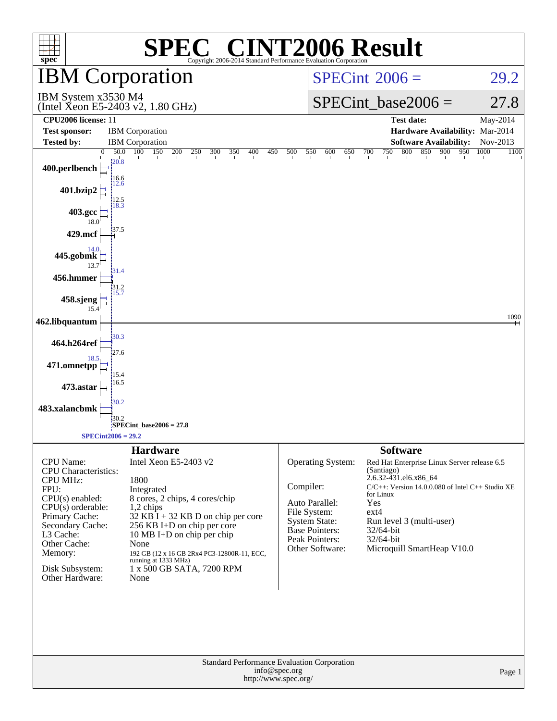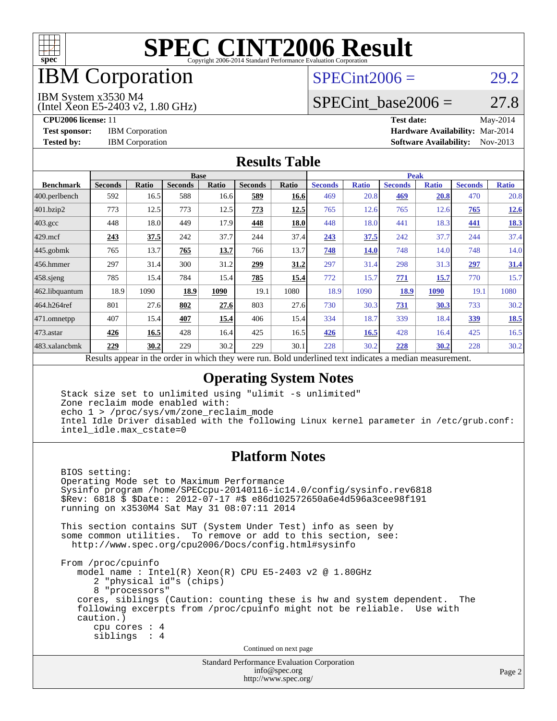

### IBM Corporation

### $SPECint2006 = 29.2$  $SPECint2006 = 29.2$

#### IBM System x3530 M4

(Intel Xeon E5-2403 v2, 1.80 GHz)

SPECint base2006 =  $27.8$ 

**[CPU2006 license:](http://www.spec.org/auto/cpu2006/Docs/result-fields.html#CPU2006license)** 11 **[Test date:](http://www.spec.org/auto/cpu2006/Docs/result-fields.html#Testdate)** May-2014 **[Test sponsor:](http://www.spec.org/auto/cpu2006/Docs/result-fields.html#Testsponsor)** IBM Corporation **[Hardware Availability:](http://www.spec.org/auto/cpu2006/Docs/result-fields.html#HardwareAvailability)** Mar-2014 **[Tested by:](http://www.spec.org/auto/cpu2006/Docs/result-fields.html#Testedby)** IBM Corporation **[Software Availability:](http://www.spec.org/auto/cpu2006/Docs/result-fields.html#SoftwareAvailability)** Nov-2013

#### **[Results Table](http://www.spec.org/auto/cpu2006/Docs/result-fields.html#ResultsTable)**

| <b>Base</b>    |                           |                |       |                              |                                               | <b>Peak</b>    |              |                |              |                |              |
|----------------|---------------------------|----------------|-------|------------------------------|-----------------------------------------------|----------------|--------------|----------------|--------------|----------------|--------------|
| <b>Seconds</b> | Ratio                     | <b>Seconds</b> | Ratio | <b>Seconds</b>               | Ratio                                         | <b>Seconds</b> | <b>Ratio</b> | <b>Seconds</b> | <b>Ratio</b> | <b>Seconds</b> | <b>Ratio</b> |
| 592            | 16.5                      | 588            |       | 589                          | 16.6                                          | 469            | 20.8         | 469            | 20.8         | 470            | 20.8         |
| 773            | 12.5                      | 773            | 12.5  | 773                          | 12.5                                          | 765            |              | 765            | 12.6         | 765            | <u>12.6</u>  |
| 448            | 18.0                      | 449            | 17.9  | 448                          | 18.0                                          | 448            |              | 441            | 18.3         | 441            | <b>18.3</b>  |
| 243            | 37.5                      | 242            | 37.7  | 244                          | 37.4                                          | 243            | 37.5         | 242            | 37.7         | 244            | 37.4         |
| 765            | 13.7                      | 765            | 13.7  | 766                          | 13.7                                          | 748            | <u>14.0</u>  | 748            | 14.0         | 748            | 14.0         |
| 297            | 31.4                      | 300            | 31.2  | 299                          | 31.2                                          | 297            | 31.4         | 298            | 31.3         | 297            | <u>31.4</u>  |
| 785            | 15.4                      | 784            |       | 785                          | 15.4                                          | 772            | 15.7         | 771            | 15.7         | 770            | 15.7         |
| 18.9           | 1090                      | 18.9           | 1090  | 19.1                         | 1080                                          | 18.9           | 1090         | 18.9           | 1090         | 19.1           | 1080         |
| 801            | 27.6                      | 802            | 27.6  | 803                          |                                               | 730            | 30.3         | 731            | 30.3         | 733            | 30.2         |
| 407            | 15.4                      | 407            | 15.4  | 406                          | 15.4                                          | 334            | 18.7         | 339            | 18.4         | <u>339</u>     | <b>18.5</b>  |
| 426            | 16.5                      | 428            |       | 425                          | 16.5                                          | 426            | 16.5         | 428            | 16.4         | 425            | 16.5         |
| 229            | 30.2                      | 229            |       | 229                          | 30.1                                          | 228            | 30.2         | 228            | <u>30.2</u>  | 228            | 30.2         |
|                | $\mathbf{D} = \mathbf{1}$ |                |       | 16.6<br>15.4<br>16.4<br>30.2 | $-1.5.1.$<br>$\overline{1}$<br>$\overline{1}$ |                | 27.6         | $-11.14$       | 12.6<br>18.0 |                |              |

Results appear in the [order in which they were run.](http://www.spec.org/auto/cpu2006/Docs/result-fields.html#RunOrder) Bold underlined text [indicates a median measurement.](http://www.spec.org/auto/cpu2006/Docs/result-fields.html#Median)

#### **[Operating System Notes](http://www.spec.org/auto/cpu2006/Docs/result-fields.html#OperatingSystemNotes)**

 Stack size set to unlimited using "ulimit -s unlimited" Zone reclaim mode enabled with: echo 1 > /proc/sys/vm/zone\_reclaim\_mode Intel Idle Driver disabled with the following Linux kernel parameter in /etc/grub.conf: intel\_idle.max\_cstate=0

#### **[Platform Notes](http://www.spec.org/auto/cpu2006/Docs/result-fields.html#PlatformNotes)**

 BIOS setting: Operating Mode set to Maximum Performance Sysinfo program /home/SPECcpu-20140116-ic14.0/config/sysinfo.rev6818 \$Rev: 6818 \$ \$Date:: 2012-07-17 #\$ e86d102572650a6e4d596a3cee98f191 running on x3530M4 Sat May 31 08:07:11 2014 This section contains SUT (System Under Test) info as seen by some common utilities. To remove or add to this section, see: <http://www.spec.org/cpu2006/Docs/config.html#sysinfo> From /proc/cpuinfo model name:  $Intel(R)$  Xeon $(R)$  CPU E5-2403 v2 @ 1.80GHz 2 "physical id"s (chips) 8 "processors" cores, siblings (Caution: counting these is hw and system dependent. The following excerpts from /proc/cpuinfo might not be reliable. Use with caution.) cpu cores : 4 siblings : 4 Continued on next page

> Standard Performance Evaluation Corporation [info@spec.org](mailto:info@spec.org) <http://www.spec.org/>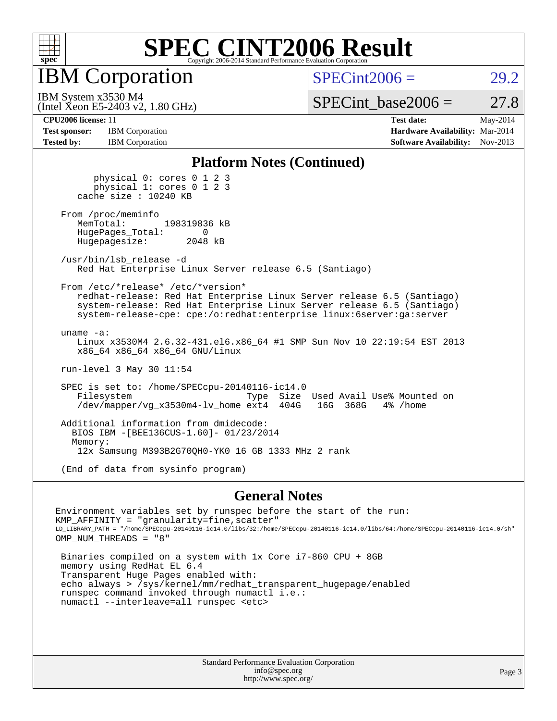

IBM Corporation

 $SPECint2006 = 29.2$  $SPECint2006 = 29.2$ 

(Intel Xeon E5-2403 v2, 1.80 GHz) IBM System x3530 M4

SPECint base2006 =  $27.8$ 

**[Test sponsor:](http://www.spec.org/auto/cpu2006/Docs/result-fields.html#Testsponsor)** IBM Corporation **[Hardware Availability:](http://www.spec.org/auto/cpu2006/Docs/result-fields.html#HardwareAvailability)** Mar-2014 **[Tested by:](http://www.spec.org/auto/cpu2006/Docs/result-fields.html#Testedby)** IBM Corporation **[Software Availability:](http://www.spec.org/auto/cpu2006/Docs/result-fields.html#SoftwareAvailability)** Nov-2013

**[CPU2006 license:](http://www.spec.org/auto/cpu2006/Docs/result-fields.html#CPU2006license)** 11 **[Test date:](http://www.spec.org/auto/cpu2006/Docs/result-fields.html#Testdate)** May-2014

#### **[Platform Notes \(Continued\)](http://www.spec.org/auto/cpu2006/Docs/result-fields.html#PlatformNotes)**

 physical 0: cores 0 1 2 3 physical 1: cores 0 1 2 3 cache size : 10240 KB

From /proc/meminfo<br>MemTotal: 198319836 kB HugePages\_Total: 0<br>Hugepagesize: 2048 kB Hugepagesize:

 /usr/bin/lsb\_release -d Red Hat Enterprise Linux Server release 6.5 (Santiago)

From /etc/\*release\* /etc/\*version\*

 redhat-release: Red Hat Enterprise Linux Server release 6.5 (Santiago) system-release: Red Hat Enterprise Linux Server release 6.5 (Santiago) system-release-cpe: cpe:/o:redhat:enterprise\_linux:6server:ga:server

 uname -a: Linux x3530M4 2.6.32-431.el6.x86\_64 #1 SMP Sun Nov 10 22:19:54 EST 2013 x86\_64 x86\_64 x86\_64 GNU/Linux

run-level 3 May 30 11:54

 SPEC is set to: /home/SPECcpu-20140116-ic14.0 Filesystem Type Size Used Avail Use% Mounted on /dev/mapper/vq x3530m4-lv home ext4 404G 16G 368G 4% /home /dev/mapper/vg\_x3530m4-lv\_home ext4

 Additional information from dmidecode: BIOS IBM -[BEE136CUS-1.60]- 01/23/2014 Memory: 12x Samsung M393B2G70QH0-YK0 16 GB 1333 MHz 2 rank

(End of data from sysinfo program)

#### **[General Notes](http://www.spec.org/auto/cpu2006/Docs/result-fields.html#GeneralNotes)**

Environment variables set by runspec before the start of the run:  $KMP_A$ FFINITY = "granularity=fine, scatter" LD\_LIBRARY\_PATH = "/home/SPECcpu-20140116-ic14.0/libs/32:/home/SPECcpu-20140116-ic14.0/libs/64:/home/SPECcpu-20140116-ic14.0/sh" OMP\_NUM\_THREADS = "8" Binaries compiled on a system with 1x Core i7-860 CPU + 8GB memory using RedHat EL 6.4

 Transparent Huge Pages enabled with: echo always > /sys/kernel/mm/redhat\_transparent\_hugepage/enabled runspec command invoked through numactl i.e.: numactl --interleave=all runspec <etc>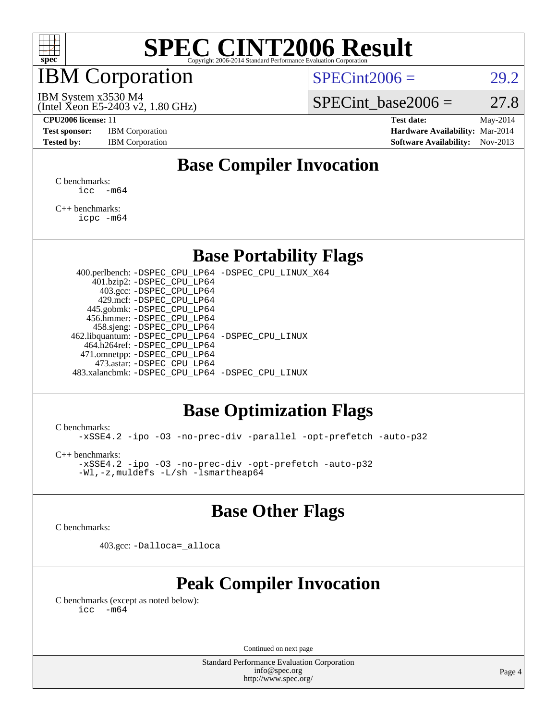

### IBM Corporation

 $SPECint2006 = 29.2$  $SPECint2006 = 29.2$ 

(Intel Xeon E5-2403 v2, 1.80 GHz) IBM System x3530 M4

SPECint base2006 =  $27.8$ 

**[CPU2006 license:](http://www.spec.org/auto/cpu2006/Docs/result-fields.html#CPU2006license)** 11 **[Test date:](http://www.spec.org/auto/cpu2006/Docs/result-fields.html#Testdate)** May-2014 **[Test sponsor:](http://www.spec.org/auto/cpu2006/Docs/result-fields.html#Testsponsor)** IBM Corporation **[Hardware Availability:](http://www.spec.org/auto/cpu2006/Docs/result-fields.html#HardwareAvailability)** Mar-2014 [Tested by:](http://www.spec.org/auto/cpu2006/Docs/result-fields.html#Testedby) IBM Corporation **[Software Availability:](http://www.spec.org/auto/cpu2006/Docs/result-fields.html#SoftwareAvailability)** Nov-2013

### **[Base Compiler Invocation](http://www.spec.org/auto/cpu2006/Docs/result-fields.html#BaseCompilerInvocation)**

[C benchmarks](http://www.spec.org/auto/cpu2006/Docs/result-fields.html#Cbenchmarks):  $\text{icc}$   $-\text{m64}$ 

[C++ benchmarks:](http://www.spec.org/auto/cpu2006/Docs/result-fields.html#CXXbenchmarks) [icpc -m64](http://www.spec.org/cpu2006/results/res2014q3/cpu2006-20140604-29804.flags.html#user_CXXbase_intel_icpc_64bit_fc66a5337ce925472a5c54ad6a0de310)

#### **[Base Portability Flags](http://www.spec.org/auto/cpu2006/Docs/result-fields.html#BasePortabilityFlags)**

 400.perlbench: [-DSPEC\\_CPU\\_LP64](http://www.spec.org/cpu2006/results/res2014q3/cpu2006-20140604-29804.flags.html#b400.perlbench_basePORTABILITY_DSPEC_CPU_LP64) [-DSPEC\\_CPU\\_LINUX\\_X64](http://www.spec.org/cpu2006/results/res2014q3/cpu2006-20140604-29804.flags.html#b400.perlbench_baseCPORTABILITY_DSPEC_CPU_LINUX_X64) 401.bzip2: [-DSPEC\\_CPU\\_LP64](http://www.spec.org/cpu2006/results/res2014q3/cpu2006-20140604-29804.flags.html#suite_basePORTABILITY401_bzip2_DSPEC_CPU_LP64) 403.gcc: [-DSPEC\\_CPU\\_LP64](http://www.spec.org/cpu2006/results/res2014q3/cpu2006-20140604-29804.flags.html#suite_basePORTABILITY403_gcc_DSPEC_CPU_LP64) 429.mcf: [-DSPEC\\_CPU\\_LP64](http://www.spec.org/cpu2006/results/res2014q3/cpu2006-20140604-29804.flags.html#suite_basePORTABILITY429_mcf_DSPEC_CPU_LP64) 445.gobmk: [-DSPEC\\_CPU\\_LP64](http://www.spec.org/cpu2006/results/res2014q3/cpu2006-20140604-29804.flags.html#suite_basePORTABILITY445_gobmk_DSPEC_CPU_LP64) 456.hmmer: [-DSPEC\\_CPU\\_LP64](http://www.spec.org/cpu2006/results/res2014q3/cpu2006-20140604-29804.flags.html#suite_basePORTABILITY456_hmmer_DSPEC_CPU_LP64) 458.sjeng: [-DSPEC\\_CPU\\_LP64](http://www.spec.org/cpu2006/results/res2014q3/cpu2006-20140604-29804.flags.html#suite_basePORTABILITY458_sjeng_DSPEC_CPU_LP64) 462.libquantum: [-DSPEC\\_CPU\\_LP64](http://www.spec.org/cpu2006/results/res2014q3/cpu2006-20140604-29804.flags.html#suite_basePORTABILITY462_libquantum_DSPEC_CPU_LP64) [-DSPEC\\_CPU\\_LINUX](http://www.spec.org/cpu2006/results/res2014q3/cpu2006-20140604-29804.flags.html#b462.libquantum_baseCPORTABILITY_DSPEC_CPU_LINUX) 464.h264ref: [-DSPEC\\_CPU\\_LP64](http://www.spec.org/cpu2006/results/res2014q3/cpu2006-20140604-29804.flags.html#suite_basePORTABILITY464_h264ref_DSPEC_CPU_LP64) 471.omnetpp: [-DSPEC\\_CPU\\_LP64](http://www.spec.org/cpu2006/results/res2014q3/cpu2006-20140604-29804.flags.html#suite_basePORTABILITY471_omnetpp_DSPEC_CPU_LP64) 473.astar: [-DSPEC\\_CPU\\_LP64](http://www.spec.org/cpu2006/results/res2014q3/cpu2006-20140604-29804.flags.html#suite_basePORTABILITY473_astar_DSPEC_CPU_LP64) 483.xalancbmk: [-DSPEC\\_CPU\\_LP64](http://www.spec.org/cpu2006/results/res2014q3/cpu2006-20140604-29804.flags.html#suite_basePORTABILITY483_xalancbmk_DSPEC_CPU_LP64) [-DSPEC\\_CPU\\_LINUX](http://www.spec.org/cpu2006/results/res2014q3/cpu2006-20140604-29804.flags.html#b483.xalancbmk_baseCXXPORTABILITY_DSPEC_CPU_LINUX)

#### **[Base Optimization Flags](http://www.spec.org/auto/cpu2006/Docs/result-fields.html#BaseOptimizationFlags)**

[C benchmarks](http://www.spec.org/auto/cpu2006/Docs/result-fields.html#Cbenchmarks):

[-xSSE4.2](http://www.spec.org/cpu2006/results/res2014q3/cpu2006-20140604-29804.flags.html#user_CCbase_f-xSSE42_f91528193cf0b216347adb8b939d4107) [-ipo](http://www.spec.org/cpu2006/results/res2014q3/cpu2006-20140604-29804.flags.html#user_CCbase_f-ipo) [-O3](http://www.spec.org/cpu2006/results/res2014q3/cpu2006-20140604-29804.flags.html#user_CCbase_f-O3) [-no-prec-div](http://www.spec.org/cpu2006/results/res2014q3/cpu2006-20140604-29804.flags.html#user_CCbase_f-no-prec-div) [-parallel](http://www.spec.org/cpu2006/results/res2014q3/cpu2006-20140604-29804.flags.html#user_CCbase_f-parallel) [-opt-prefetch](http://www.spec.org/cpu2006/results/res2014q3/cpu2006-20140604-29804.flags.html#user_CCbase_f-opt-prefetch) [-auto-p32](http://www.spec.org/cpu2006/results/res2014q3/cpu2006-20140604-29804.flags.html#user_CCbase_f-auto-p32)

[C++ benchmarks:](http://www.spec.org/auto/cpu2006/Docs/result-fields.html#CXXbenchmarks)

[-xSSE4.2](http://www.spec.org/cpu2006/results/res2014q3/cpu2006-20140604-29804.flags.html#user_CXXbase_f-xSSE42_f91528193cf0b216347adb8b939d4107) [-ipo](http://www.spec.org/cpu2006/results/res2014q3/cpu2006-20140604-29804.flags.html#user_CXXbase_f-ipo) [-O3](http://www.spec.org/cpu2006/results/res2014q3/cpu2006-20140604-29804.flags.html#user_CXXbase_f-O3) [-no-prec-div](http://www.spec.org/cpu2006/results/res2014q3/cpu2006-20140604-29804.flags.html#user_CXXbase_f-no-prec-div) [-opt-prefetch](http://www.spec.org/cpu2006/results/res2014q3/cpu2006-20140604-29804.flags.html#user_CXXbase_f-opt-prefetch) [-auto-p32](http://www.spec.org/cpu2006/results/res2014q3/cpu2006-20140604-29804.flags.html#user_CXXbase_f-auto-p32) [-Wl,-z,muldefs](http://www.spec.org/cpu2006/results/res2014q3/cpu2006-20140604-29804.flags.html#user_CXXbase_link_force_multiple1_74079c344b956b9658436fd1b6dd3a8a) [-L/sh -lsmartheap64](http://www.spec.org/cpu2006/results/res2014q3/cpu2006-20140604-29804.flags.html#user_CXXbase_SmartHeap64_ed4ef857ce90951921efb0d91eb88472)

#### **[Base Other Flags](http://www.spec.org/auto/cpu2006/Docs/result-fields.html#BaseOtherFlags)**

[C benchmarks](http://www.spec.org/auto/cpu2006/Docs/result-fields.html#Cbenchmarks):

403.gcc: [-Dalloca=\\_alloca](http://www.spec.org/cpu2006/results/res2014q3/cpu2006-20140604-29804.flags.html#b403.gcc_baseEXTRA_CFLAGS_Dalloca_be3056838c12de2578596ca5467af7f3)

### **[Peak Compiler Invocation](http://www.spec.org/auto/cpu2006/Docs/result-fields.html#PeakCompilerInvocation)**

[C benchmarks \(except as noted below\)](http://www.spec.org/auto/cpu2006/Docs/result-fields.html#Cbenchmarksexceptasnotedbelow):  $\text{icc}$  -m64

Continued on next page

Standard Performance Evaluation Corporation [info@spec.org](mailto:info@spec.org) <http://www.spec.org/>

Page 4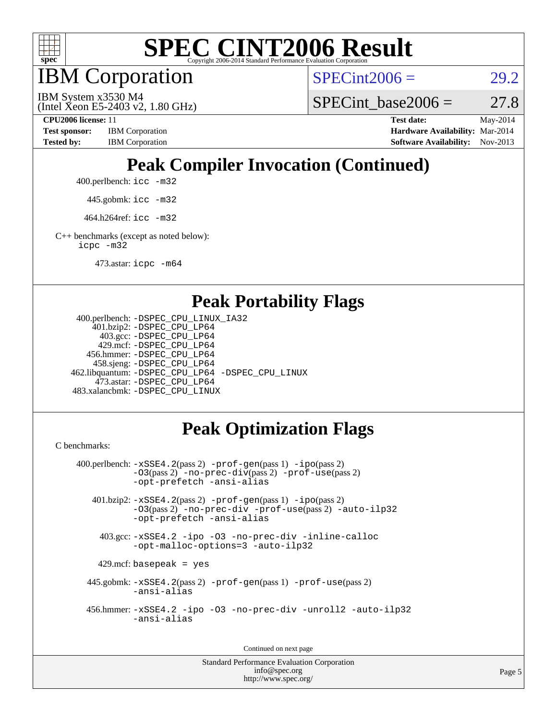

IBM Corporation

 $SPECint2006 = 29.2$  $SPECint2006 = 29.2$ 

(Intel Xeon E5-2403 v2, 1.80 GHz) IBM System x3530 M4

SPECint base2006 =  $27.8$ 

**[CPU2006 license:](http://www.spec.org/auto/cpu2006/Docs/result-fields.html#CPU2006license)** 11 **[Test date:](http://www.spec.org/auto/cpu2006/Docs/result-fields.html#Testdate)** May-2014 **[Test sponsor:](http://www.spec.org/auto/cpu2006/Docs/result-fields.html#Testsponsor)** IBM Corporation **[Hardware Availability:](http://www.spec.org/auto/cpu2006/Docs/result-fields.html#HardwareAvailability)** Mar-2014 [Tested by:](http://www.spec.org/auto/cpu2006/Docs/result-fields.html#Testedby) IBM Corporation **[Software Availability:](http://www.spec.org/auto/cpu2006/Docs/result-fields.html#SoftwareAvailability)** Nov-2013

# **[Peak Compiler Invocation \(Continued\)](http://www.spec.org/auto/cpu2006/Docs/result-fields.html#PeakCompilerInvocation)**

400.perlbench: [icc -m32](http://www.spec.org/cpu2006/results/res2014q3/cpu2006-20140604-29804.flags.html#user_peakCCLD400_perlbench_intel_icc_a6a621f8d50482236b970c6ac5f55f93)

445.gobmk: [icc -m32](http://www.spec.org/cpu2006/results/res2014q3/cpu2006-20140604-29804.flags.html#user_peakCCLD445_gobmk_intel_icc_a6a621f8d50482236b970c6ac5f55f93)

464.h264ref: [icc -m32](http://www.spec.org/cpu2006/results/res2014q3/cpu2006-20140604-29804.flags.html#user_peakCCLD464_h264ref_intel_icc_a6a621f8d50482236b970c6ac5f55f93)

[C++ benchmarks \(except as noted below\):](http://www.spec.org/auto/cpu2006/Docs/result-fields.html#CXXbenchmarksexceptasnotedbelow) [icpc -m32](http://www.spec.org/cpu2006/results/res2014q3/cpu2006-20140604-29804.flags.html#user_CXXpeak_intel_icpc_4e5a5ef1a53fd332b3c49e69c3330699)

473.astar: [icpc -m64](http://www.spec.org/cpu2006/results/res2014q3/cpu2006-20140604-29804.flags.html#user_peakCXXLD473_astar_intel_icpc_64bit_fc66a5337ce925472a5c54ad6a0de310)

#### **[Peak Portability Flags](http://www.spec.org/auto/cpu2006/Docs/result-fields.html#PeakPortabilityFlags)**

```
 400.perlbench: -DSPEC_CPU_LINUX_IA32
    401.bzip2: -DSPEC_CPU_LP64
      403.gcc: -DSPEC_CPU_LP64
     429.mcf: -DSPEC_CPU_LP64
   456.hmmer: -DSPEC_CPU_LP64
    458.sjeng: -DSPEC_CPU_LP64
462.libquantum: -DSPEC_CPU_LP64 -DSPEC_CPU_LINUX
     473.astar: -DSPEC_CPU_LP64
483.xalancbmk: -DSPEC_CPU_LINUX
```
### **[Peak Optimization Flags](http://www.spec.org/auto/cpu2006/Docs/result-fields.html#PeakOptimizationFlags)**

[C benchmarks](http://www.spec.org/auto/cpu2006/Docs/result-fields.html#Cbenchmarks):

```
 400.perlbench: -xSSE4.2(pass 2) -prof-gen(pass 1) -ipo(pass 2)
           -O3(pass 2) -no-prec-div(pass 2) -prof-use(pass 2)
          -opt-prefetch -ansi-alias
   401.bzip2: -xSSE4.2(pass 2) -prof-gen(pass 1) -ipo(pass 2)
           -O3(pass 2) -no-prec-div -prof-use(pass 2) -auto-ilp32
           -opt-prefetch -ansi-alias
    403.gcc: -xSSE4.2 -ipo -O3 -no-prec-div -inline-calloc
           -opt-malloc-options=3 -auto-ilp32
   429.mcf: basepeak = yes
  445.gobmk: -xSSE4.2(pass 2) -prof-gen(pass 1) -prof-use(pass 2)
           -ansi-alias
  456.hmmer: -xSSE4.2 -ipo -O3 -no-prec-div -unroll2 -auto-ilp32
           -ansi-alias
```
Continued on next page

Standard Performance Evaluation Corporation [info@spec.org](mailto:info@spec.org) <http://www.spec.org/>